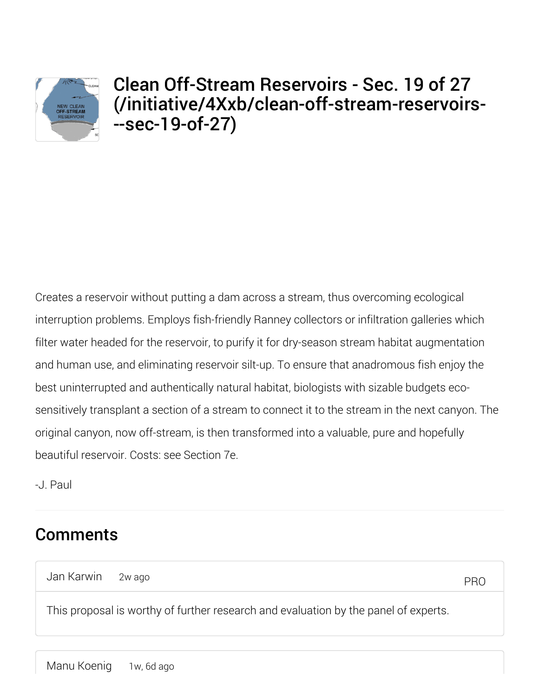

## Clean Off-Stream Reservoirs - Sec. 19 of 27 (/initiative/4Xxb/clean-off-stream-reservoirs- --sec-19-of-27)

Creates a reservoir without putting a dam across a stream, thus overcoming ecological interruption problems. Employs fish-friendly Ranney collectors or infiltration galleries which filter water headed for the reservoir, to purify it for dry-season stream habitat augmentation and human use, and eliminating reservoir silt-up. To ensure that anadromous fish enjoy the best uninterrupted and authentically natural habitat, biologists with sizable budgets ecosensitively transplant a section of a stream to connect it to the stream in the next canyon. The original canyon, now off-stream, is then transformed into a valuable, pure and hopefully beautiful reservoir. Costs: see Section 7e.

-J. Paul

## **Comments**

Jan Karwin 2w ago

PRO

This proposal is worthy of further research and evaluation by the panel of experts.